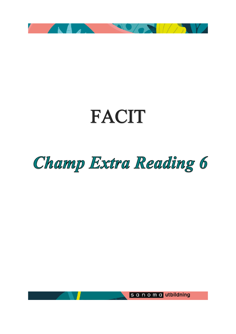

# **FACIT**

# Champ Extra Reading 6

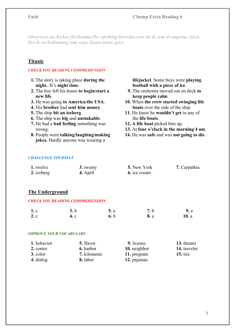Observera att det kan förekomma fler språkligt korrekta svar än de som är angivna i facit. Det är en bedömning som varje lärare måste göra.

# Titanic

#### CHECK YOU READING COMPREHENSION

- 1. The story is taking place during the night. /It's night time.
- 2. The boy left his home to begin/start a new life.
- 3. He was going to America/the USA.
- 4. His brother had sent him money.
- 5. The ship hit an iceberg.
- 6. The ship was big and unsinkable.
- 7. He had a bad feeling something was wrong.
- 8. People were talking/laughing/making jokes. Hardly anyone was wearing a

 lifejacket. Some boys were playing football with a piece of ice.

- 9. The orchestra moved out on deck to keep people calm.
- 10. When the crew started swinging life boats over the side of the ship.
- 11. He knew he wouldn't get in any of the life boats.
- 12. A life boat picked him up.
- 13. At four o'clock in the morning/4 am.
- 14. He was safe and was not going to die.

#### CHALLENGE YOURSELF

| 1. twelve  | 3. twenty | 5. New York  | 7. Carpathia |
|------------|-----------|--------------|--------------|
| 2. iceberg | 4. April  | 6. ice cream |              |

# The Underground

#### CHECK YOU READING COMPREHENSION

| 1 <sub>c</sub> | 3.b  | 5. a | <b>7.</b> b | <b>9.</b> a |
|----------------|------|------|-------------|-------------|
| 2.c            | 4. c | 6.b  | <b>8.</b> a | 10. a       |

#### IMPROVE YOUR VOCABULARY

| 1. behavior | 5. flavor        | 9. license   | 13. theater  |
|-------------|------------------|--------------|--------------|
| 2. center   | <b>6.</b> harbor | 10. neighbor | 14. traveler |
| 3. color    | 7. kilometer     | 11. program  | $15.$ tire   |
| 4. dialog   | 8. labor         | 12. pajamas  |              |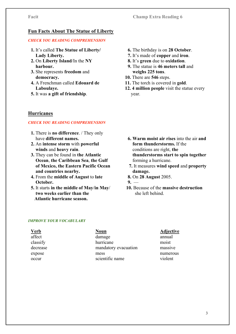# Fun Facts About The Statue of Liberty

# CHECK YOU READING COMPREHENSION

- 1. It's called The Statue of Liberty/ Lady Liberty.
- 2. On Liberty Island/In the NY harbour.
- 3. She represents freedom and democracy.
- 4. A Frenchman called Edouard de Laboulaye.
- 5. It was a gift of friendship.

# Hurricanes

# CHECK YOU READING COMPREHENSION

- 1. There is no difference. / They only have different names.
- 2. An intense storm with powerful winds and heavy rain.
- 3. They can be found in the Atlantic Ocean, the Caribbean Sea, the Gulf of Mexico, the Eastern Pacific Ocean and countries nearby.
- 4. From the middle of August to late October.
- 5. It starts in the middle of May/in May/ two weeks earlier than the Atlantic hurricane season.
- 6. The birthday is on 28 October.
- 7. It's made of copper and iron.
- 8. It's green due to oxidation.
- 9. The statue is 46 meters tall and weighs 225 tons.
- 10. There are 546 steps.
- 11. The torch is covered in gold.
- 12. 4 million people visit the statue every year.

- 6. Warm moist air rises into the air and form thunderstorms. If the conditions are right, the thunderstorms start to spin together forming a hurricane.
- 7. It measures wind speed and property damage.
- 8. On 28 August 2005.

 $9.$ 

 10. Because of the massive destruction she left behind.

# IMPROVE YOUR VOCABULARY

| <u>Verb</u> | <b>Noun</b>          |
|-------------|----------------------|
| affect      | damage               |
| classify    | hurricane            |
| decrease    | mandatory evacuation |
| expose      | mess                 |
| occur       | scientific name      |

#### Adjective annual

moist massive numerous violent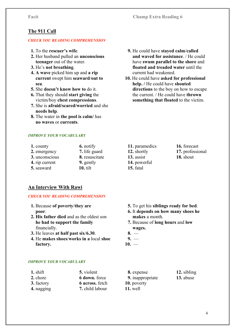# The 911 Call

#### CHECK YOU READING COMPREHENSION

- 1. To the rescuer's wife.
- 2. Her husband pulled an unconscious teenager out of the water.
- 3. He's not breathing.
- 4. A wave picked him up and a rip current swept him seaward/out to sea.
- 5. She doesn't know how to do it.
- 6. That they should start giving the victim/boy chest compressions.
- 7. She is afraid/scared/worried and she needs help.
- 8. The water in the pool is calm/ has no waves or currents.

#### IMPROVE YOUR VOCABULARY

| 1. county      | 6. notify      |
|----------------|----------------|
| 2. emergency   | 7. life guard  |
| 3. unconscious | 8. resuscitate |
| 4. rip current | 9. gently      |
| 5. seaward     | $10.$ tilt     |

- 9. He could have stayed calm/called and waved for assistance. / He could have swum parallel to the shore and floated and treaded water until the current had weakened.
- 10. He could have asked for professional help. / He could have shouted directions to the boy on how to escape the current. / He could have thrown something that floated to the victim.

- 11. paramedics 12. shortly 13. assist 14. powerful 15. fatal
- 16. forecast 17. professional 18. shout

# An Interview With Rawi

#### CHECK YOU READING COMPREHENSION

- 1. Because of poverty/they are poor.
- 2. His father died and as the oldest son he had to support the family financially.
- 3. He leaves at half past six/6.30.
- 4. He makes shoes/works in a local shoe factory.

#### makes a month. 7. Because of long hours and low

5. To get his siblings ready for bed. 6. It depends on how many shoes he

- wages.
- 8.  $9. -$
- $10. -$

#### IMPROVE YOUR VOCABULARY

| $1.$ shift | 5. violent      |
|------------|-----------------|
| 2. chore   | 6 down. force   |
| 3. factory | 6 across. fetch |
| 4. nagging | 7. child labour |

- 8. expense 9. inappropriate 10. poverty 11. well
- 12. sibling 13. abuse
- 4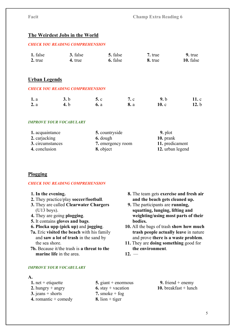# The Weirdest Jobs in the World

#### CHECK YOU READING COMPREHENSION

| 1. false | 3. false | 5. false | 7. true | 9. true   |
|----------|----------|----------|---------|-----------|
| 2. true  | 4. true  | 6. false | 8. true | 10. false |

### Urban Legends

#### CHECK YOU READING COMPREHENSION

| <b>1.</b> a | 3.b         | 5c             | <b>7.</b> c | 9.b             | 11.c |
|-------------|-------------|----------------|-------------|-----------------|------|
| 2. a        | <b>4.</b> b | $\mathbf{6.}a$ | <b>8.</b> a | 10 <sub>c</sub> | 12.b |

#### IMPROVE YOUR VOCABULARY

| 1. acquaintance  | 5. countryside    | $9.$ plot        |
|------------------|-------------------|------------------|
| 2. carjacking    | 6. dough          | $10.$ prank      |
| 3. circumstances | 7. emergency room | 11. predicament  |
| 4. conclusion    | 8. object         | 12. urban legend |

# Plogging

#### CHECK YOU READING COMPREHENSION

#### 1. In the evening.

- 2. They practice/play soccer/football.
- 3. They are called Clearwater Chargers (U13 boys).
- 4. They are going plogging.
- 5. It contains gloves and bags.

6. Plocka upp (pick up) and jogging.

- 7a. Eric visited the beach with his family and saw a lot of trash in the sand by the sea shore.
- 7b. Because it/the trash is a threat to the marine life in the area.
- 8. The team gets exercise and fresh air and the beach gets cleaned up.
- 9. The participants are running, squatting, lunging, lifting and weighting/using most parts of their bodies.
- 10. All the bags of trash show how much trash people actually leave in nature and prove there is a waste problem.
- 11. They are doing something good for the environment.
- $12. =$

#### IMPROVE YOUR VOCABULARY

#### A.

- 1. net + etiquette
- 2. hungry + angry
- 3. jeans  $+$  shorts
- 4. romantic  $+$  comedy
- 5. giant + enormous
- 6. stay  $+$  vacation
- 7. smoke  $+$  fog
- 8. lion  $+$  tiger

9. friend  $+$  enemy 10. breakfast  $+$  lunch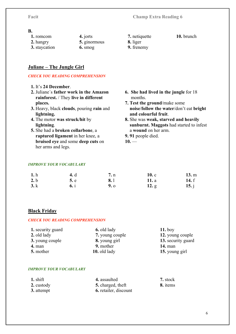## B.

| 1. romcom           |   |
|---------------------|---|
| 2. hangry           | 5 |
| $2 - 4 - 5 - 4 - 4$ |   |

- 3. staycation
- . jorts
- 5. ginormous
	- 6. smog
- 7. netiquette

### 10. brunch

- 8. liger
- 9. frenemy

# Juliane – The Jungle Girl

## CHECK YOU READING COMPREHENSION

- 1. It's 24 December.
- 2. Juliane´s father work in the Amazon rainforest. / They live in different places.
- 3. Heavy, black clouds, pouring rain and lightning.
- 4. The motor was struck/hit by lightning.
- 5. She had a broken collarbone, a raptured ligament in her knee, a bruised eye and some deep cuts on her arms and legs.
- 6. She had lived in the jungle for 18 months.
- 7. Test the ground/make some noise/follow the water/don't eat bright and colourful fruit.
- 8. She was weak, starved and heavily sunburnt. Maggots had started to infest a wound on her arm.
- 9. 91 people died.
- $10. -$

#### IMPROVE YOUR VOCABULARY

| 1. h | 4. d | 7. n | 10.c  | 13. m   |
|------|------|------|-------|---------|
| 2.b  | 5.e  | 8. l | 11. a | 14. $f$ |
| 3. k | 6.1  | 9.0  | 12. g | 15. $j$ |

# Black Friday

#### CHECK YOU READING COMPREHENSION

| 1. security guard | <b>6.</b> old lady | $11.$ boy          |
|-------------------|--------------------|--------------------|
| 2. old lady       | 7. young couple    | 12. young couple   |
| 3. young couple   | 8. young girl      | 13. security guard |
| $4.$ man          | 9. mother          | <b>14.</b> man     |
| 5. mother         | 10. old lady       | 15. young girl     |

#### IMPROVE YOUR VOCABULARY

| $1.$ shift | 4. assaulted                 | 7. stock |
|------------|------------------------------|----------|
| 2. custody | 5. charged, theft            | 8. items |
| 3. attempt | <b>6.</b> retailer, discount |          |